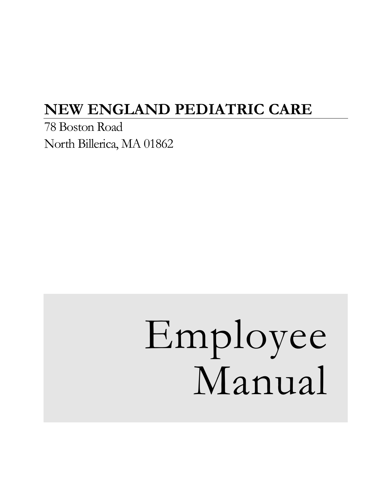# **NEW ENGLAND PEDIATRIC CARE**

78 Boston Road North Billerica, MA 01862

# Employee Manual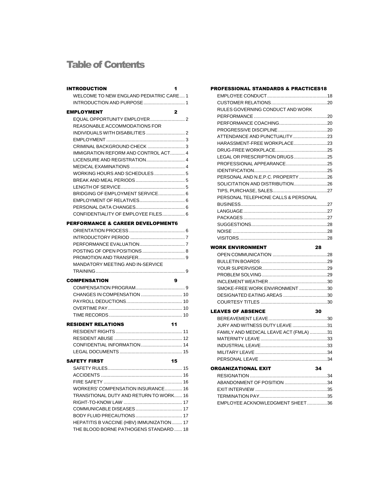# Table of Contents

| <b>INTRODUCTION</b>                       | 1  |
|-------------------------------------------|----|
| WELCOME TO NEW ENGLAND PEDIATRIC CARE 1   |    |
|                                           |    |
|                                           |    |
| <b>EMPLOYMENT</b>                         | 2  |
|                                           |    |
| REASONABLE ACCOMMODATIONS FOR             |    |
|                                           |    |
|                                           |    |
|                                           |    |
| IMMIGRATION REFORM AND CONTROL ACT 4      |    |
|                                           |    |
|                                           |    |
| WORKING HOURS AND SCHEDULES 5             |    |
|                                           |    |
|                                           |    |
| BRIDGING OF EMPLOYMENT SERVICE 6          |    |
|                                           |    |
|                                           |    |
| CONFIDENTIALITY OF EMPLOYEE FILES 6       |    |
| PERFORMANCE & CAREER DEVELOPMENT6         |    |
|                                           |    |
|                                           |    |
|                                           |    |
|                                           |    |
|                                           |    |
| MANDATORY MEETING AND IN-SERVICE          |    |
|                                           |    |
|                                           |    |
| <b>COMPENSATION</b>                       | 9  |
|                                           |    |
|                                           |    |
|                                           |    |
|                                           |    |
|                                           |    |
| <b>RESIDENT RELATIONS</b>                 | 11 |
|                                           |    |
|                                           |    |
| CONFIDENTIAL INFORMATION  14              |    |
|                                           |    |
|                                           |    |
| <b>SAFETY FIRST</b><br>$\sim$ 15          |    |
|                                           |    |
|                                           |    |
|                                           |    |
| WORKERS' COMPENSATION INSURANCE 16        |    |
| TRANSITIONAL DUTY AND RETURN TO WORK 16   |    |
|                                           |    |
|                                           |    |
|                                           |    |
| HEPATITIS B VACCINE (HBV) IMMUNIZATION 17 |    |
| THE BLOOD BORNE PATHOGENS STANDARD  18    |    |

| <b>PROFESSIONAL STANDARDS &amp; PRACTICES18</b> |    |  |
|-------------------------------------------------|----|--|
|                                                 |    |  |
|                                                 |    |  |
| RULES GOVERNING CONDUCT AND WORK                |    |  |
|                                                 |    |  |
|                                                 |    |  |
|                                                 |    |  |
| ATTENDANCE AND PUNCTUALITY23                    |    |  |
| HARASSMENT-FREE WORKPLACE23                     |    |  |
|                                                 |    |  |
| LEGAL OR PRESCRIPTION DRUGS25                   |    |  |
| PROFESSIONAL APPEARANCE25                       |    |  |
|                                                 |    |  |
| PERSONAL AND N.E.P.C. PROPERTY 26               |    |  |
| SOLICITATION AND DISTRIBUTION26                 |    |  |
|                                                 |    |  |
| PERSONAL TELEPHONE CALLS & PERSONAL             |    |  |
|                                                 |    |  |
|                                                 |    |  |
|                                                 |    |  |
|                                                 |    |  |
|                                                 |    |  |
|                                                 |    |  |
| <b>WORK ENVIRONMENT</b>                         | 28 |  |
|                                                 |    |  |
|                                                 |    |  |
|                                                 |    |  |
|                                                 |    |  |
|                                                 |    |  |
|                                                 |    |  |
| SMOKE-FREE WORK ENVIRONMENT30                   |    |  |
| DESIGNATED EATING AREAS 30                      |    |  |
|                                                 |    |  |
| <b>LEAVES OF ABSENCE</b>                        | 30 |  |
|                                                 |    |  |
|                                                 |    |  |
| JURY AND WITNESS DUTY LEAVE 31                  |    |  |
| FAMILY AND MEDICAL LEAVE ACT (FMLA) 31          |    |  |
|                                                 |    |  |
|                                                 |    |  |
|                                                 |    |  |
|                                                 |    |  |
| <b>ORGANIZATIONAL EXIT</b>                      | 34 |  |
|                                                 |    |  |
| ABANDONMENT OF POSITION 34                      |    |  |
|                                                 |    |  |
| EMPLOYEE ACKNOWLEDGMENT SHEET36                 |    |  |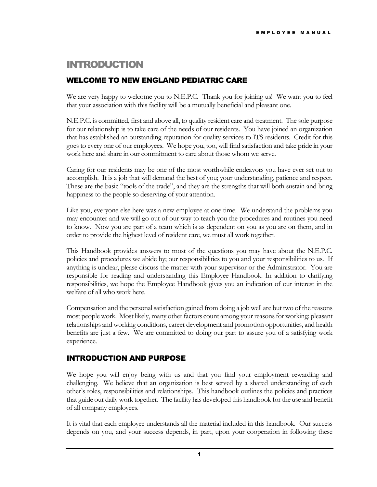# INTRODUCTION

#### WELCOME TO NEW ENGLAND PEDIATRIC CARE

We are very happy to welcome you to N.E.P.C. Thank you for joining us! We want you to feel that your association with this facility will be a mutually beneficial and pleasant one.

N.E.P.C. is committed, first and above all, to quality resident care and treatment. The sole purpose for our relationship is to take care of the needs of our residents. You have joined an organization that has established an outstanding reputation for quality services to ITS residents. Credit for this goes to every one of our employees. We hope you, too, will find satisfaction and take pride in your work here and share in our commitment to care about those whom we serve.

Caring for our residents may be one of the most worthwhile endeavors you have ever set out to accomplish. It is a job that will demand the best of you; your understanding, patience and respect. These are the basic "tools of the trade", and they are the strengths that will both sustain and bring happiness to the people so deserving of your attention.

Like you, everyone else here was a new employee at one time. We understand the problems you may encounter and we will go out of our way to teach you the procedures and routines you need to know. Now you are part of a team which is as dependent on you as you are on them, and in order to provide the highest level of resident care, we must all work together.

This Handbook provides answers to most of the questions you may have about the N.E.P.C. policies and procedures we abide by; our responsibilities to you and your responsibilities to us. If anything is unclear, please discuss the matter with your supervisor or the Administrator. You are responsible for reading and understanding this Employee Handbook. In addition to clarifying responsibilities, we hope the Employee Handbook gives you an indication of our interest in the welfare of all who work here.

Compensation and the personal satisfaction gained from doing a job well are but two of the reasons most people work. Most likely, many other factors count among your reasons for working: pleasant relationships and working conditions, career development and promotion opportunities, and health benefits are just a few. We are committed to doing our part to assure you of a satisfying work experience.

#### INTRODUCTION AND PURPOSE

We hope you will enjoy being with us and that you find your employment rewarding and challenging. We believe that an organization is best served by a shared understanding of each other's roles, responsibilities and relationships. This handbook outlines the policies and practices that guide our daily work together. The facility has developed this handbook for the use and benefit of all company employees.

It is vital that each employee understands all the material included in this handbook. Our success depends on you, and your success depends, in part, upon your cooperation in following these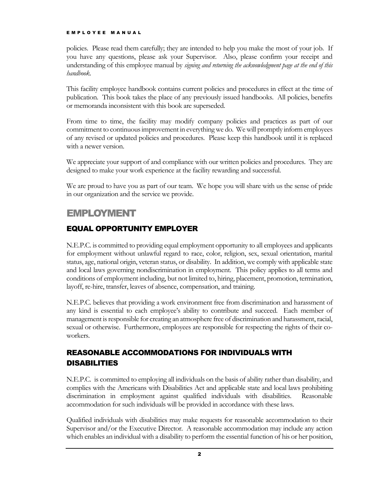policies. Please read them carefully; they are intended to help you make the most of your job. If you have any questions, please ask your Supervisor. Also, please confirm your receipt and understanding of this employee manual by *signing and returning the acknowledgment page at the end of this handbook*.

This facility employee handbook contains current policies and procedures in effect at the time of publication. This book takes the place of any previously issued handbooks. All policies, benefits or memoranda inconsistent with this book are superseded.

From time to time, the facility may modify company policies and practices as part of our commitment to continuous improvement in everything we do. We will promptly inform employees of any revised or updated policies and procedures. Please keep this handbook until it is replaced with a newer version.

We appreciate your support of and compliance with our written policies and procedures. They are designed to make your work experience at the facility rewarding and successful.

We are proud to have you as part of our team. We hope you will share with us the sense of pride in our organization and the service we provide.

# EMPLOYMENT

#### EQUAL OPPORTUNITY EMPLOYER

N.E.P.C. is committed to providing equal employment opportunity to all employees and applicants for employment without unlawful regard to race, color, religion, sex, sexual orientation, marital status, age, national origin, veteran status, or disability. In addition, we comply with applicable state and local laws governing nondiscrimination in employment. This policy applies to all terms and conditions of employment including, but not limited to, hiring, placement, promotion, termination, layoff, re-hire, transfer, leaves of absence, compensation, and training.

N.E.P.C. believes that providing a work environment free from discrimination and harassment of any kind is essential to each employee's ability to contribute and succeed. Each member of management is responsible for creating an atmosphere free of discrimination and harassment, racial, sexual or otherwise. Furthermore, employees are responsible for respecting the rights of their coworkers.

# REASONABLE ACCOMMODATIONS FOR INDIVIDUALS WITH DISABILITIES

N.E.P.C. is committed to employing all individuals on the basis of ability rather than disability, and complies with the Americans with Disabilities Act and applicable state and local laws prohibiting discrimination in employment against qualified individuals with disabilities. Reasonable accommodation for such individuals will be provided in accordance with these laws.

Qualified individuals with disabilities may make requests for reasonable accommodation to their Supervisor and/or the Executive Director. A reasonable accommodation may include any action which enables an individual with a disability to perform the essential function of his or her position,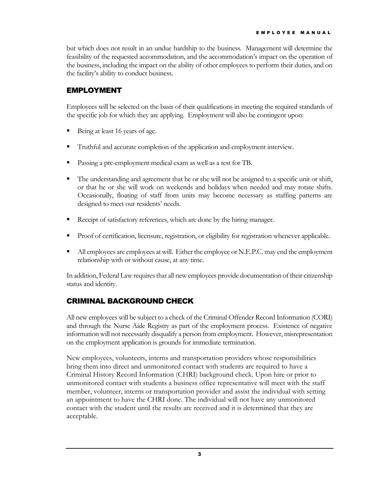but which does not result in an undue hardship to the business. Management will determine the feasibility of the requested accommodation, and the accommodation's impact on the operation of the business, including the impact on the ability of other employees to perform their duties, and on the facility's ability to conduct business.

#### EMPLOYMENT

Employees will be selected on the basis of their qualifications in meeting the required standards of the specific job for which they are applying. Employment will also be contingent upon:

- Being at least 16 years of age.
- Truthful and accurate completion of the application and employment interview.
- **Passing a pre-employment medical exam as well as a test for TB.**
- The understanding and agreement that he or she will not be assigned to a specific unit or shift, or that he or she will work on weekends and holidays when needed and may rotate shifts. Occasionally, floating of staff from units may become necessary as staffing patterns are designed to meet our residents' needs.
- Receipt of satisfactory references, which are done by the hiring manager.
- **Proof of certification, licensure, registration, or eligibility for registration whenever applicable.**
- All employees are employees at will. Either the employee or N.E.P.C. may end the employment relationship with or without cause, at any time.

In addition, Federal Law requires that all new employees provide documentation of their citizenship status and identity.

#### CRIMINAL BACKGROUND CHECK

All new employees will be subject to a check of the Criminal Offender Record Information (CORI) and through the Nurse Aide Registry as part of the employment process. Existence of negative information will not necessarily disqualify a person from employment. However, misrepresentation on the employment application is grounds for immediate termination.

New employees, volunteers, interns and transportation providers whose responsibilities bring them into direct and unmonitored contact with students are required to have a Criminal History Record Information (CHRI) background check. Upon hire or prior to unmonitored contact with students a business office representative will meet with the staff member, volunteer, interns or transportation provider and assist the individual with setting an appointment to have the CHRI done. The individual will not have any unmonitored contact with the student until the results are received and it is determined that they are acceptable.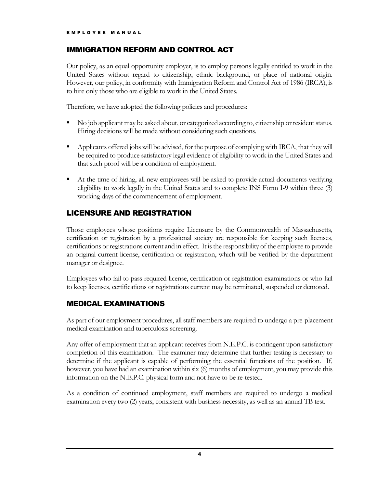#### IMMIGRATION REFORM AND CONTROL ACT

Our policy, as an equal opportunity employer, is to employ persons legally entitled to work in the United States without regard to citizenship, ethnic background, or place of national origin. However, our policy, in conformity with Immigration Reform and Control Act of 1986 (IRCA), is to hire only those who are eligible to work in the United States.

Therefore, we have adopted the following policies and procedures:

- No job applicant may be asked about, or categorized according to, citizenship or resident status. Hiring decisions will be made without considering such questions.
- Applicants offered jobs will be advised, for the purpose of complying with IRCA, that they will be required to produce satisfactory legal evidence of eligibility to work in the United States and that such proof will be a condition of employment.
- At the time of hiring, all new employees will be asked to provide actual documents verifying eligibility to work legally in the United States and to complete INS Form I-9 within three (3) working days of the commencement of employment.

## LICENSURE AND REGISTRATION

Those employees whose positions require Licensure by the Commonwealth of Massachusetts, certification or registration by a professional society are responsible for keeping such licenses, certifications or registrations current and in effect. It is the responsibility of the employee to provide an original current license, certification or registration, which will be verified by the department manager or designee.

Employees who fail to pass required license, certification or registration examinations or who fail to keep licenses, certifications or registrations current may be terminated, suspended or demoted.

#### MEDICAL EXAMINATIONS

As part of our employment procedures, all staff members are required to undergo a pre-placement medical examination and tuberculosis screening.

Any offer of employment that an applicant receives from N.E.P.C. is contingent upon satisfactory completion of this examination. The examiner may determine that further testing is necessary to determine if the applicant is capable of performing the essential functions of the position. If, however, you have had an examination within six (6) months of employment, you may provide this information on the N.E.P.C. physical form and not have to be re-tested.

As a condition of continued employment, staff members are required to undergo a medical examination every two (2) years, consistent with business necessity, as well as an annual TB test.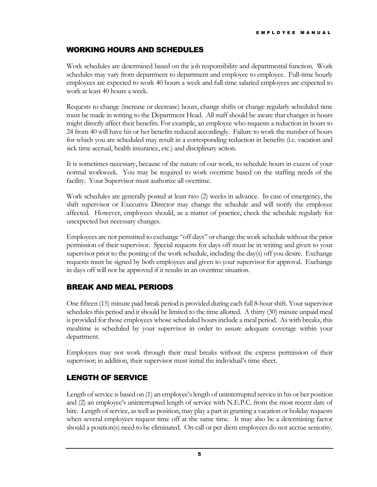#### WORKING HOURS AND SCHEDULES

Work schedules are determined based on the job responsibility and departmental function. Work schedules may vary from department to department and employee to employee. Full-time hourly employees are expected to work 40 hours a week and full-time salaried employees are expected to work at least 40 hours a week.

Requests to change (increase or decrease) hours, change shifts or change regularly scheduled time must be made in writing to the Department Head. All staff should be aware that changes in hours might directly affect their benefits. For example, an employee who requests a reduction in hours to 24 from 40 will have his or her benefits reduced accordingly. Failure to work the number of hours for which you are scheduled may result in a corresponding reduction in benefits (i.e. vacation and sick time accrual, health insurance, etc.) and disciplinary action.

It is sometimes necessary, because of the nature of our work, to schedule hours in excess of your normal workweek. You may be required to work overtime based on the staffing needs of the facility. Your Supervisor must authorize all overtime.

Work schedules are generally posted at least two (2) weeks in advance. In case of emergency, the shift supervisor or Executive Director may change the schedule and will notify the employee affected. However, employees should, as a matter of practice, check the schedule regularly for unexpected but necessary changes.

Employees are not permitted to exchange "off days" or change the work schedule without the prior permission of their supervisor. Special requests for days off must be in writing and given to your supervisor prior to the posting of the work schedule, including the day(s) off you desire. Exchange requests must be signed by both employees and given to your supervisor for approval. Exchange in days off will not be approved if it results in an overtime situation.

#### BREAK AND MEAL PERIODS

One fifteen (15) minute paid break period is provided during each full 8-hour shift. Your supervisor schedules this period and it should be limited to the time allotted. A thirty (30) minute unpaid meal is provided for those employees whose scheduled hours include a meal period. As with breaks, this mealtime is scheduled by your supervisor in order to assure adequate coverage within your department.

Employees may not work through their meal breaks without the express permission of their supervisor; in addition, their supervisor must initial the individual's time sheet.

#### LENGTH OF SERVICE

Length of service is based on (1) an employee's length of uninterrupted service in his or her position and (2) an employee's uninterrupted length of service with N.E.P.C. from the most recent date of hire. Length of service, as well as position, may play a part in granting a vacation or holiday requests when several employees request time off at the same time. It may also be a determining factor should a position(s) need to be eliminated. On call or per diem employees do not accrue seniority.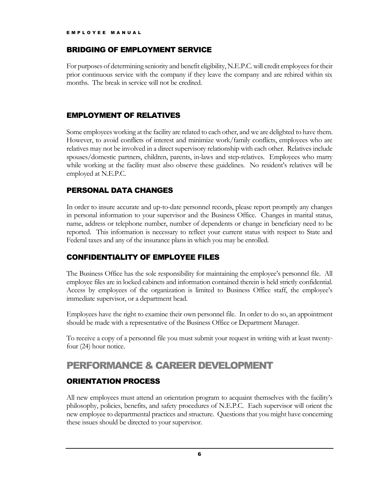#### BRIDGING OF EMPLOYMENT SERVICE

For purposes of determining seniority and benefit eligibility, N.E.P.C. will credit employees for their prior continuous service with the company if they leave the company and are rehired within six months. The break in service will not be credited.

#### EMPLOYMENT OF RELATIVES

Some employees working at the facility are related to each other, and we are delighted to have them. However, to avoid conflicts of interest and minimize work/family conflicts, employees who are relatives may not be involved in a direct supervisory relationship with each other. Relatives include spouses/domestic partners, children, parents, in-laws and step-relatives. Employees who marry while working at the facility must also observe these guidelines. No resident's relatives will be employed at N.E.P.C.

## PERSONAL DATA CHANGES

In order to insure accurate and up-to-date personnel records, please report promptly any changes in personal information to your supervisor and the Business Office. Changes in marital status, name, address or telephone number, number of dependents or change in beneficiary need to be reported. This information is necessary to reflect your current status with respect to State and Federal taxes and any of the insurance plans in which you may be enrolled.

#### CONFIDENTIALITY OF EMPLOYEE FILES

The Business Office has the sole responsibility for maintaining the employee's personnel file. All employee files are in locked cabinets and information contained therein is held strictly confidential. Access by employees of the organization is limited to Business Office staff, the employee's immediate supervisor, or a department head.

Employees have the right to examine their own personnel file. In order to do so, an appointment should be made with a representative of the Business Office or Department Manager.

To receive a copy of a personnel file you must submit your request in writing with at least twentyfour (24) hour notice.

# PERFORMANCE & CAREER DEVELOPMENT

#### ORIENTATION PROCESS

All new employees must attend an orientation program to acquaint themselves with the facility's philosophy, policies, benefits, and safety procedures of N.E.P.C. Each supervisor will orient the new employee to departmental practices and structure. Questions that you might have concerning these issues should be directed to your supervisor.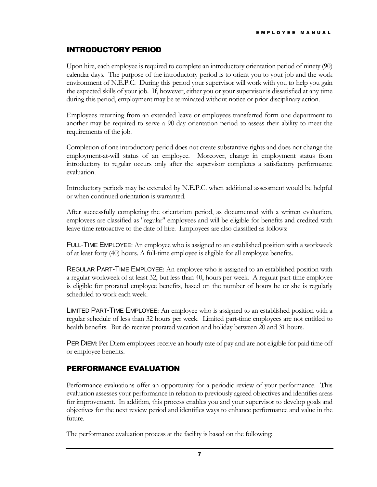#### INTRODUCTORY PERIOD

Upon hire, each employee is required to complete an introductory orientation period of ninety (90) calendar days. The purpose of the introductory period is to orient you to your job and the work environment of N.E.P.C. During this period your supervisor will work with you to help you gain the expected skills of your job. If, however, either you or your supervisor is dissatisfied at any time during this period, employment may be terminated without notice or prior disciplinary action.

Employees returning from an extended leave or employees transferred form one department to another may be required to serve a 90-day orientation period to assess their ability to meet the requirements of the job.

Completion of one introductory period does not create substantive rights and does not change the employment-at-will status of an employee. Moreover, change in employment status from introductory to regular occurs only after the supervisor completes a satisfactory performance evaluation.

Introductory periods may be extended by N.E.P.C. when additional assessment would be helpful or when continued orientation is warranted.

After successfully completing the orientation period, as documented with a written evaluation, employees are classified as "regular" employees and will be eligible for benefits and credited with leave time retroactive to the date of hire. Employees are also classified as follows:

FULL-TIME EMPLOYEE: An employee who is assigned to an established position with a workweek of at least forty (40) hours. A full-time employee is eligible for all employee benefits.

REGULAR PART-TIME EMPLOYEE: An employee who is assigned to an established position with a regular workweek of at least 32, but less than 40, hours per week. A regular part-time employee is eligible for prorated employee benefits, based on the number of hours he or she is regularly scheduled to work each week.

LIMITED PART-TIME EMPLOYEE: An employee who is assigned to an established position with a regular schedule of less than 32 hours per week. Limited part-time employees are not entitled to health benefits. But do receive prorated vacation and holiday between 20 and 31 hours.

PER DIEM: Per Diem employees receive an hourly rate of pay and are not eligible for paid time off or employee benefits.

#### PERFORMANCE EVALUATION

Performance evaluations offer an opportunity for a periodic review of your performance. This evaluation assesses your performance in relation to previously agreed objectives and identifies areas for improvement. In addition, this process enables you and your supervisor to develop goals and objectives for the next review period and identifies ways to enhance performance and value in the future.

The performance evaluation process at the facility is based on the following: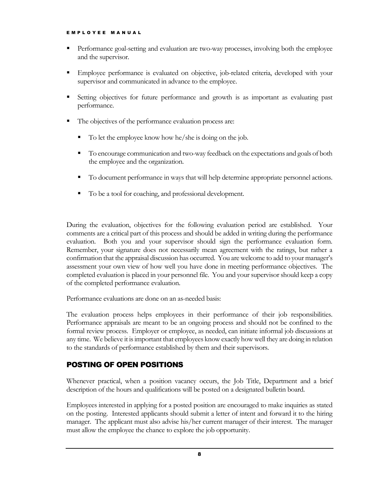- Performance goal-setting and evaluation are two-way processes, involving both the employee and the supervisor.
- Employee performance is evaluated on objective, job-related criteria, developed with your supervisor and communicated in advance to the employee.
- Setting objectives for future performance and growth is as important as evaluating past performance.
- The objectives of the performance evaluation process are:
	- To let the employee know how he/she is doing on the job.
	- To encourage communication and two-way feedback on the expectations and goals of both the employee and the organization.
	- To document performance in ways that will help determine appropriate personnel actions.
	- To be a tool for coaching, and professional development.

During the evaluation, objectives for the following evaluation period are established. Your comments are a critical part of this process and should be added in writing during the performance evaluation. Both you and your supervisor should sign the performance evaluation form. Remember, your signature does not necessarily mean agreement with the ratings, but rather a confirmation that the appraisal discussion has occurred. You are welcome to add to your manager's assessment your own view of how well you have done in meeting performance objectives. The completed evaluation is placed in your personnel file. You and your supervisor should keep a copy of the completed performance evaluation.

Performance evaluations are done on an as-needed basis:

The evaluation process helps employees in their performance of their job responsibilities. Performance appraisals are meant to be an ongoing process and should not be confined to the formal review process. Employer or employee, as needed, can initiate informal job discussions at any time. We believe it is important that employees know exactly how well they are doing in relation to the standards of performance established by them and their supervisors.

#### POSTING OF OPEN POSITIONS

Whenever practical, when a position vacancy occurs, the Job Title, Department and a brief description of the hours and qualifications will be posted on a designated bulletin board.

Employees interested in applying for a posted position are encouraged to make inquiries as stated on the posting. Interested applicants should submit a letter of intent and forward it to the hiring manager. The applicant must also advise his/her current manager of their interest. The manager must allow the employee the chance to explore the job opportunity.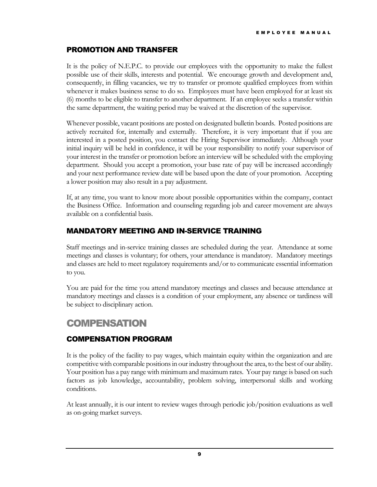#### PROMOTION AND TRANSFER

It is the policy of N.E.P.C. to provide our employees with the opportunity to make the fullest possible use of their skills, interests and potential. We encourage growth and development and, consequently, in filling vacancies, we try to transfer or promote qualified employees from within whenever it makes business sense to do so. Employees must have been employed for at least six (6) months to be eligible to transfer to another department. If an employee seeks a transfer within the same department, the waiting period may be waived at the discretion of the supervisor.

Whenever possible, vacant positions are posted on designated bulletin boards. Posted positions are actively recruited for, internally and externally. Therefore, it is very important that if you are interested in a posted position, you contact the Hiring Supervisor immediately. Although your initial inquiry will be held in confidence, it will be your responsibility to notify your supervisor of your interest in the transfer or promotion before an interview will be scheduled with the employing department. Should you accept a promotion, your base rate of pay will be increased accordingly and your next performance review date will be based upon the date of your promotion. Accepting a lower position may also result in a pay adjustment.

If, at any time, you want to know more about possible opportunities within the company, contact the Business Office. Information and counseling regarding job and career movement are always available on a confidential basis.

#### MANDATORY MEETING AND IN-SERVICE TRAINING

Staff meetings and in-service training classes are scheduled during the year. Attendance at some meetings and classes is voluntary; for others, your attendance is mandatory. Mandatory meetings and classes are held to meet regulatory requirements and/or to communicate essential information to you.

You are paid for the time you attend mandatory meetings and classes and because attendance at mandatory meetings and classes is a condition of your employment, any absence or tardiness will be subject to disciplinary action.

# COMPENSATION

#### COMPENSATION PROGRAM

It is the policy of the facility to pay wages, which maintain equity within the organization and are competitive with comparable positions in our industry throughout the area, to the best of our ability. Your position has a pay range with minimum and maximum rates. Your pay range is based on such factors as job knowledge, accountability, problem solving, interpersonal skills and working conditions.

At least annually, it is our intent to review wages through periodic job/position evaluations as well as on-going market surveys.

9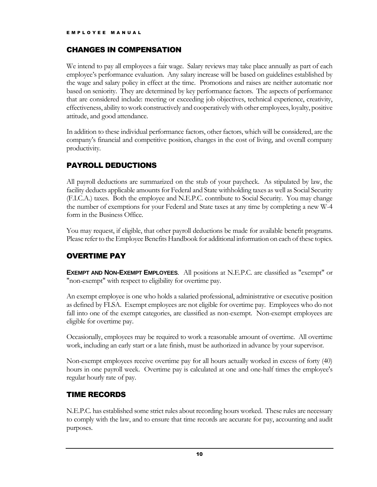#### CHANGES IN COMPENSATION

We intend to pay all employees a fair wage. Salary reviews may take place annually as part of each employee's performance evaluation. Any salary increase will be based on guidelines established by the wage and salary policy in effect at the time. Promotions and raises are neither automatic nor based on seniority. They are determined by key performance factors. The aspects of performance that are considered include: meeting or exceeding job objectives, technical experience, creativity, effectiveness, ability to work constructively and cooperatively with other employees, loyalty, positive attitude, and good attendance.

In addition to these individual performance factors, other factors, which will be considered, are the company's financial and competitive position, changes in the cost of living, and overall company productivity.

# PAYROLL DEDUCTIONS

All payroll deductions are summarized on the stub of your paycheck. As stipulated by law, the facility deducts applicable amounts for Federal and State withholding taxes as well as Social Security (F.I.C.A.) taxes. Both the employee and N.E.P.C. contribute to Social Security. You may change the number of exemptions for your Federal and State taxes at any time by completing a new W-4 form in the Business Office.

You may request, if eligible, that other payroll deductions be made for available benefit programs. Please refer to the Employee Benefits Handbook for additional information on each of these topics.

# OVERTIME PAY

**EXEMPT AND NON-EXEMPT EMPLOYEES**. All positions at N.E.P.C. are classified as "exempt" or "non-exempt" with respect to eligibility for overtime pay.

An exempt employee is one who holds a salaried professional, administrative or executive position as defined by FLSA. Exempt employees are not eligible for overtime pay. Employees who do not fall into one of the exempt categories, are classified as non-exempt. Non-exempt employees are eligible for overtime pay.

Occasionally, employees may be required to work a reasonable amount of overtime. All overtime work, including an early start or a late finish, must be authorized in advance by your supervisor.

Non-exempt employees receive overtime pay for all hours actually worked in excess of forty (40) hours in one payroll week. Overtime pay is calculated at one and one-half times the employee's regular hourly rate of pay.

#### TIME RECORDS

N.E.P.C. has established some strict rules about recording hours worked. These rules are necessary to comply with the law, and to ensure that time records are accurate for pay, accounting and audit purposes.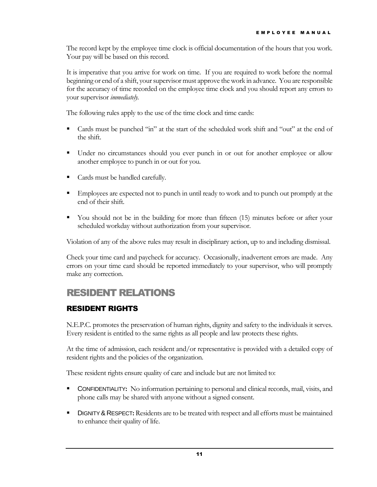The record kept by the employee time clock is official documentation of the hours that you work. Your pay will be based on this record.

It is imperative that you arrive for work on time. If you are required to work before the normal beginning or end of a shift, your supervisor must approve the work in advance. You are responsible for the accuracy of time recorded on the employee time clock and you should report any errors to your supervisor *immediately.*

The following rules apply to the use of the time clock and time cards:

- Cards must be punched "in" at the start of the scheduled work shift and "out" at the end of the shift.
- Under no circumstances should you ever punch in or out for another employee or allow another employee to punch in or out for you.
- Cards must be handled carefully.
- Employees are expected not to punch in until ready to work and to punch out promptly at the end of their shift.
- You should not be in the building for more than fifteen (15) minutes before or after your scheduled workday without authorization from your supervisor.

Violation of any of the above rules may result in disciplinary action, up to and including dismissal.

Check your time card and paycheck for accuracy. Occasionally, inadvertent errors are made. Any errors on your time card should be reported immediately to your supervisor, who will promptly make any correction.

# RESIDENT RELATIONS

#### RESIDENT RIGHTS

N.E.P.C. promotes the preservation of human rights, dignity and safety to the individuals it serves. Every resident is entitled to the same rights as all people and law protects these rights.

At the time of admission, each resident and/or representative is provided with a detailed copy of resident rights and the policies of the organization.

These resident rights ensure quality of care and include but are not limited to:

- CONFIDENTIALITY**:** No information pertaining to personal and clinical records, mail, visits, and phone calls may be shared with anyone without a signed consent.
- **DIGNITY & RESPECT:** Residents are to be treated with respect and all efforts must be maintained to enhance their quality of life.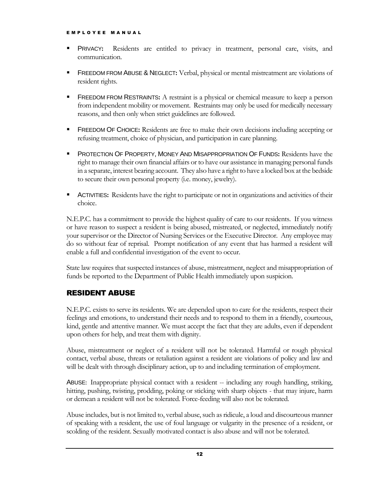- PRIVACY**:** Residents are entitled to privacy in treatment, personal care, visits, and communication.
- FREEDOM FROM ABUSE & NEGLECT**:** Verbal, physical or mental mistreatment are violations of resident rights.
- **FREEDOM FROM RESTRAINTS:** A restraint is a physical or chemical measure to keep a person from independent mobility or movement. Restraints may only be used for medically necessary reasons, and then only when strict guidelines are followed.
- FREEDOM OF CHOICE**:** Residents are free to make their own decisions including accepting or refusing treatment, choice of physician, and participation in care planning.
- **PROTECTION OF PROPERTY, MONEY AND MISAPPROPRIATION OF FUNDS: Residents have the** right to manage their own financial affairs or to have our assistance in managing personal funds in a separate, interest bearing account. They also have a right to have a locked box at the bedside to secure their own personal property (i.e. money, jewelry).
- **ACTIVITIES:** Residents have the right to participate or not in organizations and activities of their choice.

N.E.P.C. has a commitment to provide the highest quality of care to our residents. If you witness or have reason to suspect a resident is being abused, mistreated, or neglected, immediately notify your supervisor or the Director of Nursing Services or the Executive Director. Any employee may do so without fear of reprisal. Prompt notification of any event that has harmed a resident will enable a full and confidential investigation of the event to occur.

State law requires that suspected instances of abuse, mistreatment, neglect and misappropriation of funds be reported to the Department of Public Health immediately upon suspicion.

#### RESIDENT ABUSE

N.E.P.C. exists to serve its residents. We are depended upon to care for the residents, respect their feelings and emotions, to understand their needs and to respond to them in a friendly, courteous, kind, gentle and attentive manner. We must accept the fact that they are adults, even if dependent upon others for help, and treat them with dignity.

Abuse, mistreatment or neglect of a resident will not be tolerated. Harmful or rough physical contact, verbal abuse, threats or retaliation against a resident are violations of policy and law and will be dealt with through disciplinary action, up to and including termination of employment.

ABUSE: Inappropriate physical contact with a resident -- including any rough handling, striking, hitting, pushing, twisting, prodding, poking or sticking with sharp objects - that may injure, harm or demean a resident will not be tolerated. Force-feeding will also not be tolerated.

Abuse includes, but is not limited to, verbal abuse, such as ridicule, a loud and discourteous manner of speaking with a resident, the use of foul language or vulgarity in the presence of a resident, or scolding of the resident. Sexually motivated contact is also abuse and will not be tolerated.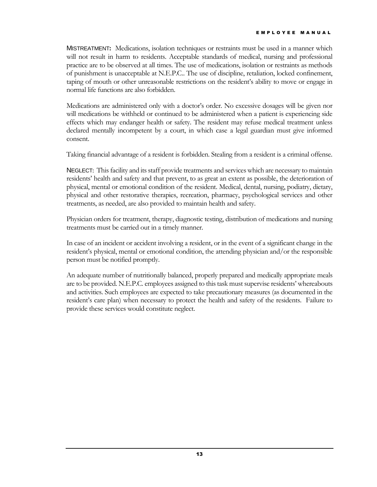MISTREATMENT**:** Medications, isolation techniques or restraints must be used in a manner which will not result in harm to residents. Acceptable standards of medical, nursing and professional practice are to be observed at all times. The use of medications, isolation or restraints as methods of punishment is unacceptable at N.E.P.C.. The use of discipline, retaliation, locked confinement, taping of mouth or other unreasonable restrictions on the resident's ability to move or engage in normal life functions are also forbidden.

Medications are administered only with a doctor's order. No excessive dosages will be given nor will medications be withheld or continued to be administered when a patient is experiencing side effects which may endanger health or safety. The resident may refuse medical treatment unless declared mentally incompetent by a court, in which case a legal guardian must give informed consent.

Taking financial advantage of a resident is forbidden. Stealing from a resident is a criminal offense.

NEGLECT: This facility and its staff provide treatments and services which are necessary to maintain residents' health and safety and that prevent, to as great an extent as possible, the deterioration of physical, mental or emotional condition of the resident. Medical, dental, nursing, podiatry, dietary, physical and other restorative therapies, recreation, pharmacy, psychological services and other treatments, as needed, are also provided to maintain health and safety.

Physician orders for treatment, therapy, diagnostic testing, distribution of medications and nursing treatments must be carried out in a timely manner.

In case of an incident or accident involving a resident, or in the event of a significant change in the resident's physical, mental or emotional condition, the attending physician and/or the responsible person must be notified promptly.

An adequate number of nutritionally balanced, properly prepared and medically appropriate meals are to be provided. N.E.P.C. employees assigned to this task must supervise residents' whereabouts and activities. Such employees are expected to take precautionary measures (as documented in the resident's care plan) when necessary to protect the health and safety of the residents. Failure to provide these services would constitute neglect.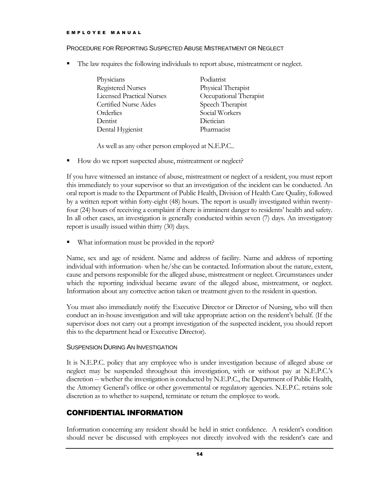#### PROCEDURE FOR REPORTING SUSPECTED ABUSE MISTREATMENT OR NEGLECT

The law requires the following individuals to report abuse, mistreatment or neglect.

| Physicians                       | Podiatrist             |
|----------------------------------|------------------------|
| <b>Registered Nurses</b>         | Physical Therapist     |
| <b>Licensed Practical Nurses</b> | Occupational Therapist |
| Certified Nurse Aides            | Speech Therapist       |
| Orderlies                        | Social Workers         |
| Dentist                          | Dietician              |
| Dental Hygienist                 | Pharmacist             |

As well as any other person employed at N.E.P.C..

How do we report suspected abuse, mistreatment or neglect?

If you have witnessed an instance of abuse, mistreatment or neglect of a resident, you must report this immediately to your supervisor so that an investigation of the incident can be conducted. An oral report is made to the Department of Public Health, Division of Health Care Quality, followed by a written report within forty-eight (48) hours. The report is usually investigated within twentyfour (24) hours of receiving a complaint if there is imminent danger to residents' health and safety. In all other cases, an investigation is generally conducted within seven (7) days. An investigatory report is usually issued within thirty (30) days.

What information must be provided in the report?

Name, sex and age of resident. Name and address of facility. Name and address of reporting individual with information- when he/she can be contacted. Information about the nature, extent, cause and persons responsible for the alleged abuse, mistreatment or neglect. Circumstances under which the reporting individual became aware of the alleged abuse, mistreatment, or neglect. Information about any corrective action taken or treatment given to the resident in question.

You must also immediately notify the Executive Director or Director of Nursing, who will then conduct an in-house investigation and will take appropriate action on the resident's behalf. (If the supervisor does not carry out a prompt investigation of the suspected incident, you should report this to the department head or Executive Director).

#### SUSPENSION DURING AN INVESTIGATION

It is N.E.P.C. policy that any employee who is under investigation because of alleged abuse or neglect may be suspended throughout this investigation, with or without pay at N.E.P.C.'s discretion -- whether the investigation is conducted by N.E.P.C., the Department of Public Health, the Attorney General's office or other governmental or regulatory agencies. N.E.P.C. retains sole discretion as to whether to suspend, terminate or return the employee to work.

#### CONFIDENTIAL INFORMATION

Information concerning any resident should be held in strict confidence. A resident's condition should never be discussed with employees not directly involved with the resident's care and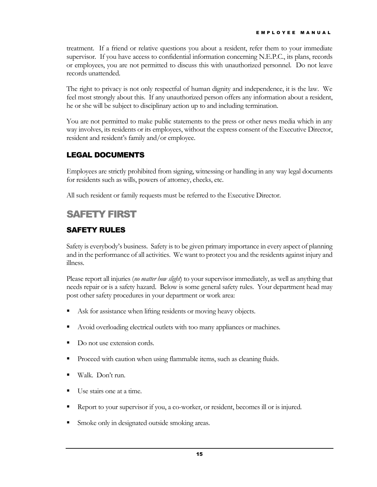treatment. If a friend or relative questions you about a resident, refer them to your immediate supervisor. If you have access to confidential information concerning N.E.P.C., its plans, records or employees, you are not permitted to discuss this with unauthorized personnel. Do not leave records unattended.

The right to privacy is not only respectful of human dignity and independence, it is the law. We feel most strongly about this. If any unauthorized person offers any information about a resident, he or she will be subject to disciplinary action up to and including termination.

You are not permitted to make public statements to the press or other news media which in any way involves, its residents or its employees, without the express consent of the Executive Director, resident and resident's family and/or employee.

## LEGAL DOCUMENTS

Employees are strictly prohibited from signing, witnessing or handling in any way legal documents for residents such as wills, powers of attorney, checks, etc.

All such resident or family requests must be referred to the Executive Director.

# SAFETY FIRST

## SAFETY RULES

Safety is everybody's business. Safety is to be given primary importance in every aspect of planning and in the performance of all activities. We want to protect you and the residents against injury and illness.

Please report all injuries (*no matter how slight*) to your supervisor immediately, as well as anything that needs repair or is a safety hazard. Below is some general safety rules. Your department head may post other safety procedures in your department or work area:

- Ask for assistance when lifting residents or moving heavy objects.
- Avoid overloading electrical outlets with too many appliances or machines.
- Do not use extension cords.
- Proceed with caution when using flammable items, such as cleaning fluids.
- Walk. Don't run.
- Use stairs one at a time.
- Report to your supervisor if you, a co-worker, or resident, becomes ill or is injured.
- **Smoke only in designated outside smoking areas.**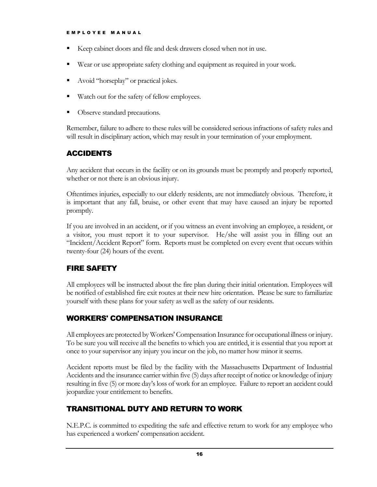- Keep cabinet doors and file and desk drawers closed when not in use.
- Wear or use appropriate safety clothing and equipment as required in your work.
- Avoid "horseplay" or practical jokes.
- Watch out for the safety of fellow employees.
- Observe standard precautions.

Remember, failure to adhere to these rules will be considered serious infractions of safety rules and will result in disciplinary action, which may result in your termination of your employment.

## ACCIDENTS

Any accident that occurs in the facility or on its grounds must be promptly and properly reported, whether or not there is an obvious injury.

Oftentimes injuries, especially to our elderly residents, are not immediately obvious. Therefore, it is important that any fall, bruise, or other event that may have caused an injury be reported promptly.

If you are involved in an accident, or if you witness an event involving an employee, a resident, or a visitor, you must report it to your supervisor. He/she will assist you in filling out an "Incident/Accident Report" form. Reports must be completed on every event that occurs within twenty-four (24) hours of the event.

#### FIRE SAFETY

All employees will be instructed about the fire plan during their initial orientation. Employees will be notified of established fire exit routes at their new hire orientation. Please be sure to familiarize yourself with these plans for your safety as well as the safety of our residents.

#### WORKERS' COMPENSATION INSURANCE

All employees are protected by Workers' Compensation Insurance for occupational illness or injury. To be sure you will receive all the benefits to which you are entitled, it is essential that you report at once to your supervisor any injury you incur on the job, no matter how minor it seems.

Accident reports must be filed by the facility with the Massachusetts Department of Industrial Accidents and the insurance carrier within five (5) days after receipt of notice or knowledge of injury resulting in five (5) or more day's loss of work for an employee. Failure to report an accident could jeopardize your entitlement to benefits.

# TRANSITIONAL DUTY AND RETURN TO WORK

N.E.P.C. is committed to expediting the safe and effective return to work for any employee who has experienced a workers' compensation accident.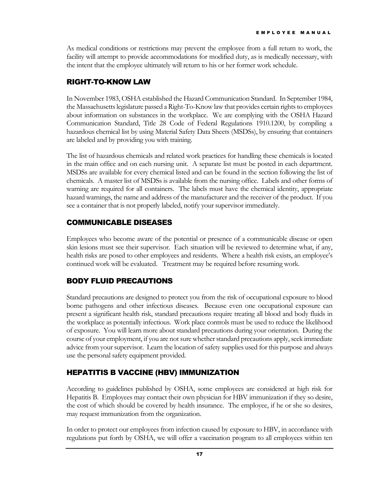As medical conditions or restrictions may prevent the employee from a full return to work, the facility will attempt to provide accommodations for modified duty, as is medically necessary, with the intent that the employee ultimately will return to his or her former work schedule.

## RIGHT-TO-KNOW LAW

In November 1983, OSHA established the Hazard Communication Standard. In September 1984, the Massachusetts legislature passed a Right-To-Know law that provides certain rights to employees about information on substances in the workplace. We are complying with the OSHA Hazard Communication Standard, Title 28 Code of Federal Regulations 1910.1200, by compiling a hazardous chemical list by using Material Safety Data Sheets (MSDSs), by ensuring that containers are labeled and by providing you with training.

The list of hazardous chemicals and related work practices for handling these chemicals is located in the main office and on each nursing unit. A separate list must be posted in each department. MSDSs are available for every chemical listed and can be found in the section following the list of chemicals. A master list of MSDSs is available from the nursing office. Labels and other forms of warning are required for all containers. The labels must have the chemical identity, appropriate hazard warnings, the name and address of the manufacturer and the receiver of the product. If you see a container that is not properly labeled, notify your supervisor immediately.

## COMMUNICABLE DISEASES

Employees who become aware of the potential or presence of a communicable disease or open skin lesions must see their supervisor. Each situation will be reviewed to determine what, if any, health risks are posed to other employees and residents. Where a health risk exists, an employee's continued work will be evaluated. Treatment may be required before resuming work.

# BODY FLUID PRECAUTIONS

Standard precautions are designed to protect you from the risk of occupational exposure to blood borne pathogens and other infectious diseases. Because even one occupational exposure can present a significant health risk, standard precautions require treating all blood and body fluids in the workplace as potentially infectious. Work place controls must be used to reduce the likelihood of exposure. You will learn more about standard precautions during your orientation. During the course of your employment, if you are not sure whether standard precautions apply, seek immediate advice from your supervisor. Learn the location of safety supplies used for this purpose and always use the personal safety equipment provided.

# HEPATITIS B VACCINE (HBV) IMMUNIZATION

According to guidelines published by OSHA, some employees are considered at high risk for Hepatitis B. Employees may contact their own physician for HBV immunization if they so desire, the cost of which should be covered by health insurance. The employee, if he or she so desires, may request immunization from the organization.

In order to protect our employees from infection caused by exposure to HBV, in accordance with regulations put forth by OSHA, we will offer a vaccination program to all employees within ten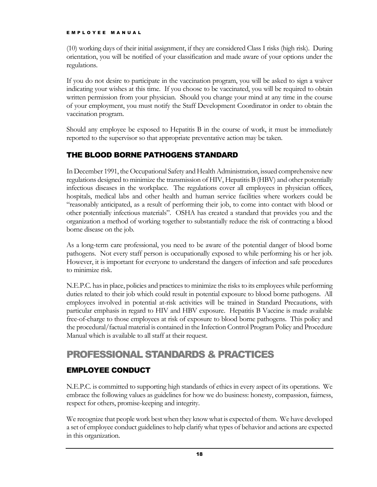(10) working days of their initial assignment, if they are considered Class I risks (high risk). During orientation, you will be notified of your classification and made aware of your options under the regulations.

If you do not desire to participate in the vaccination program, you will be asked to sign a waiver indicating your wishes at this time. If you choose to be vaccinated, you will be required to obtain written permission from your physician. Should you change your mind at any time in the course of your employment, you must notify the Staff Development Coordinator in order to obtain the vaccination program.

Should any employee be exposed to Hepatitis B in the course of work, it must be immediately reported to the supervisor so that appropriate preventative action may be taken.

# THE BLOOD BORNE PATHOGENS STANDARD

In December 1991, the Occupational Safety and Health Administration, issued comprehensive new regulations designed to minimize the transmission of HIV, Hepatitis B (HBV) and other potentially infectious diseases in the workplace. The regulations cover all employees in physician offices, hospitals, medical labs and other health and human service facilities where workers could be "reasonably anticipated, as a result of performing their job, to come into contact with blood or other potentially infectious materials". OSHA has created a standard that provides you and the organization a method of working together to substantially reduce the risk of contracting a blood borne disease on the job.

As a long-term care professional, you need to be aware of the potential danger of blood borne pathogens. Not every staff person is occupationally exposed to while performing his or her job. However, it is important for everyone to understand the dangers of infection and safe procedures to minimize risk.

N.E.P.C. has in place, policies and practices to minimize the risks to its employees while performing duties related to their job which could result in potential exposure to blood borne pathogens. All employees involved in potential at-risk activities will be trained in Standard Precautions, with particular emphasis in regard to HIV and HBV exposure. Hepatitis B Vaccine is made available free-of-charge to those employees at risk of exposure to blood borne pathogens. This policy and the procedural/factual material is contained in the Infection Control Program Policy and Procedure Manual which is available to all staff at their request.

# PROFESSIONAL STANDARDS & PRACTICES

# EMPLOYEE CONDUCT

N.E.P.C. is committed to supporting high standards of ethics in every aspect of its operations. We embrace the following values as guidelines for how we do business: honesty, compassion, fairness, respect for others, promise-keeping and integrity.

We recognize that people work best when they know what is expected of them. We have developed a set of employee conduct guidelines to help clarify what types of behavior and actions are expected in this organization.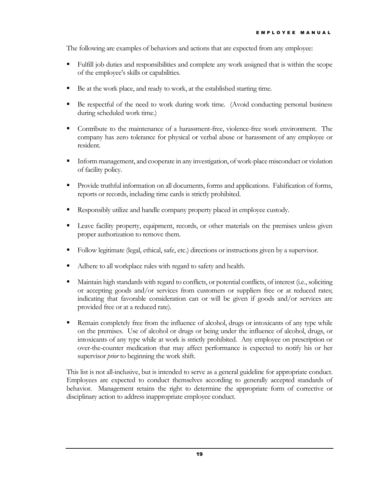The following are examples of behaviors and actions that are expected from any employee:

- Fulfill job duties and responsibilities and complete any work assigned that is within the scope of the employee's skills or capabilities.
- Be at the work place, and ready to work, at the established starting time.
- Be respectful of the need to work during work time. (Avoid conducting personal business during scheduled work time.)
- Contribute to the maintenance of a harassment-free, violence-free work environment. The company has zero tolerance for physical or verbal abuse or harassment of any employee or resident.
- **Inform management, and cooperate in any investigation, of work-place misconduct or violation** of facility policy.
- **Provide truthful information on all documents, forms and applications.** Falsification of forms, reports or records, including time cards is strictly prohibited.
- Responsibly utilize and handle company property placed in employee custody.
- **Leave facility property, equipment, records, or other materials on the premises unless given** proper authorization to remove them.
- Follow legitimate (legal, ethical, safe, etc.) directions or instructions given by a supervisor.
- Adhere to all workplace rules with regard to safety and health.
- Maintain high standards with regard to conflicts, or potential conflicts, of interest (i.e., soliciting or accepting goods and/or services from customers or suppliers free or at reduced rates; indicating that favorable consideration can or will be given if goods and/or services are provided free or at a reduced rate).
- Remain completely free from the influence of alcohol, drugs or intoxicants of any type while on the premises. Use of alcohol or drugs or being under the influence of alcohol, drugs, or intoxicants of any type while at work is strictly prohibited. Any employee on prescription or over-the-counter medication that may affect performance is expected to notify his or her supervisor *prior* to beginning the work shift.

This list is not all-inclusive, but is intended to serve as a general guideline for appropriate conduct. Employees are expected to conduct themselves according to generally accepted standards of behavior. Management retains the right to determine the appropriate form of corrective or disciplinary action to address inappropriate employee conduct.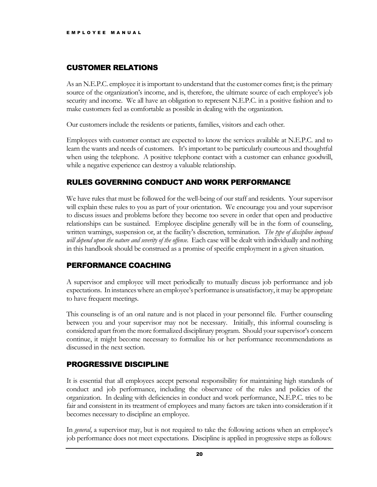#### CUSTOMER RELATIONS

As an N.E.P.C. employee it is important to understand that the customer comes first; is the primary source of the organization's income, and is, therefore, the ultimate source of each employee's job security and income. We all have an obligation to represent N.E.P.C. in a positive fashion and to make customers feel as comfortable as possible in dealing with the organization.

Our customers include the residents or patients, families, visitors and each other.

Employees with customer contact are expected to know the services available at N.E.P.C. and to learn the wants and needs of customers. It's important to be particularly courteous and thoughtful when using the telephone. A positive telephone contact with a customer can enhance goodwill, while a negative experience can destroy a valuable relationship.

#### RULES GOVERNING CONDUCT AND WORK PERFORMANCE

We have rules that must be followed for the well-being of our staff and residents. Your supervisor will explain these rules to you as part of your orientation. We encourage you and your supervisor to discuss issues and problems before they become too severe in order that open and productive relationships can be sustained. Employee discipline generally will be in the form of counseling, written warnings, suspension or, at the facility's discretion, termination. *The type of discipline imposed will depend upon the nature and severity of the offense*. Each case will be dealt with individually and nothing in this handbook should be construed as a promise of specific employment in a given situation.

#### PERFORMANCE COACHING

A supervisor and employee will meet periodically to mutually discuss job performance and job expectations. In instances where an employee's performance is unsatisfactory, it may be appropriate to have frequent meetings.

This counseling is of an oral nature and is not placed in your personnel file. Further counseling between you and your supervisor may not be necessary. Initially, this informal counseling is considered apart from the more formalized disciplinary program. Should your supervisor's concern continue, it might become necessary to formalize his or her performance recommendations as discussed in the next section.

#### PROGRESSIVE DISCIPLINE

It is essential that all employees accept personal responsibility for maintaining high standards of conduct and job performance, including the observance of the rules and policies of the organization. In dealing with deficiencies in conduct and work performance, N.E.P.C. tries to be fair and consistent in its treatment of employees and many factors are taken into consideration if it becomes necessary to discipline an employee.

In *general*, a supervisor may, but is not required to take the following actions when an employee's job performance does not meet expectations. Discipline is applied in progressive steps as follows: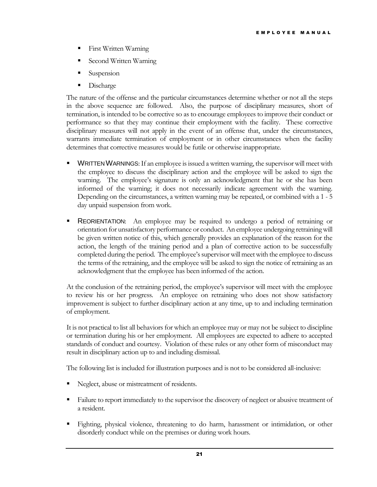- **First Written Warning**
- Second Written Warning
- Suspension
- Discharge

The nature of the offense and the particular circumstances determine whether or not all the steps in the above sequence are followed. Also, the purpose of disciplinary measures, short of termination, is intended to be corrective so as to encourage employees to improve their conduct or performance so that they may continue their employment with the facility. These corrective disciplinary measures will not apply in the event of an offense that, under the circumstances, warrants immediate termination of employment or in other circumstances when the facility determines that corrective measures would be futile or otherwise inappropriate.

- **WRITTEN WARNINGS:** If an employee is issued a written warning, the supervisor will meet with the employee to discuss the disciplinary action and the employee will be asked to sign the warning. The employee's signature is only an acknowledgment that he or she has been informed of the warning; it does not necessarily indicate agreement with the warning. Depending on the circumstances, a written warning may be repeated, or combined with a 1 - 5 day unpaid suspension from work.
- **REORIENTATION:** An employee may be required to undergo a period of retraining or orientation for unsatisfactory performance or conduct. An employee undergoing retraining will be given written notice of this, which generally provides an explanation of the reason for the action, the length of the training period and a plan of corrective action to be successfully completed during the period. The employee's supervisor will meet with the employee to discuss the terms of the retraining, and the employee will be asked to sign the notice of retraining as an acknowledgment that the employee has been informed of the action.

At the conclusion of the retraining period, the employee's supervisor will meet with the employee to review his or her progress. An employee on retraining who does not show satisfactory improvement is subject to further disciplinary action at any time, up to and including termination of employment.

It is not practical to list all behaviors for which an employee may or may not be subject to discipline or termination during his or her employment. All employees are expected to adhere to accepted standards of conduct and courtesy. Violation of these rules or any other form of misconduct may result in disciplinary action up to and including dismissal.

The following list is included for illustration purposes and is not to be considered all-inclusive:

- Neglect, abuse or mistreatment of residents.
- Failure to report immediately to the supervisor the discovery of neglect or abusive treatment of a resident.
- Fighting, physical violence, threatening to do harm, harassment or intimidation, or other disorderly conduct while on the premises or during work hours.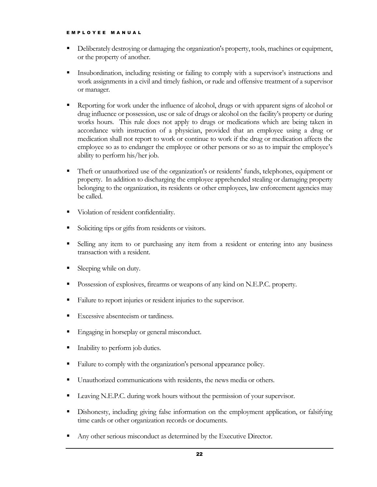- Deliberately destroying or damaging the organization's property, tools, machines or equipment, or the property of another.
- Insubordination, including resisting or failing to comply with a supervisor's instructions and work assignments in a civil and timely fashion, or rude and offensive treatment of a supervisor or manager.
- Reporting for work under the influence of alcohol, drugs or with apparent signs of alcohol or drug influence or possession, use or sale of drugs or alcohol on the facility's property or during works hours. This rule does not apply to drugs or medications which are being taken in accordance with instruction of a physician, provided that an employee using a drug or medication shall not report to work or continue to work if the drug or medication affects the employee so as to endanger the employee or other persons or so as to impair the employee's ability to perform his/her job.
- Theft or unauthorized use of the organization's or residents' funds, telephones, equipment or property. In addition to discharging the employee apprehended stealing or damaging property belonging to the organization, its residents or other employees, law enforcement agencies may be called.
- Violation of resident confidentiality.
- Soliciting tips or gifts from residents or visitors.
- Selling any item to or purchasing any item from a resident or entering into any business transaction with a resident.
- **Sleeping while on duty.**
- **Possession of explosives, firearms or weapons of any kind on N.E.P.C. property.**
- Failure to report injuries or resident injuries to the supervisor.
- Excessive absenteeism or tardiness.
- **Engaging in horseplay or general misconduct.**
- **Inability to perform job duties.**
- Failure to comply with the organization's personal appearance policy.
- Unauthorized communications with residents, the news media or others.
- Leaving N.E.P.C. during work hours without the permission of your supervisor.
- Dishonesty, including giving false information on the employment application, or falsifying time cards or other organization records or documents.
- Any other serious misconduct as determined by the Executive Director.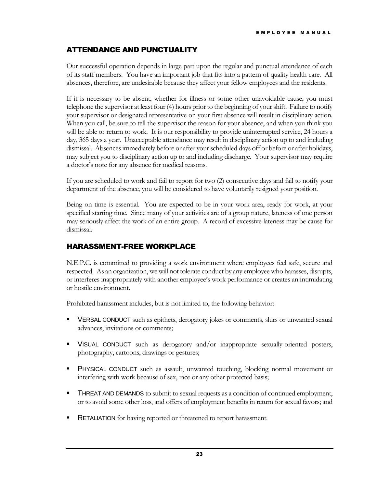## ATTENDANCE AND PUNCTUALITY

Our successful operation depends in large part upon the regular and punctual attendance of each of its staff members. You have an important job that fits into a pattern of quality health care. All absences, therefore, are undesirable because they affect your fellow employees and the residents.

If it is necessary to be absent, whether for illness or some other unavoidable cause, you must telephone the supervisor at least four (4) hours prior to the beginning of your shift. Failure to notify your supervisor or designated representative on your first absence will result in disciplinary action. When you call, be sure to tell the supervisor the reason for your absence, and when you think you will be able to return to work. It is our responsibility to provide uninterrupted service, 24 hours a day, 365 days a year. Unacceptable attendance may result in disciplinary action up to and including dismissal. Absences immediately before or after your scheduled days off or before or after holidays, may subject you to disciplinary action up to and including discharge. Your supervisor may require a doctor's note for any absence for medical reasons.

If you are scheduled to work and fail to report for two (2) consecutive days and fail to notify your department of the absence, you will be considered to have voluntarily resigned your position.

Being on time is essential. You are expected to be in your work area, ready for work, at your specified starting time. Since many of your activities are of a group nature, lateness of one person may seriously affect the work of an entire group. A record of excessive lateness may be cause for dismissal.

#### HARASSMENT-FREE WORKPLACE

N.E.P.C. is committed to providing a work environment where employees feel safe, secure and respected. As an organization, we will not tolerate conduct by any employee who harasses, disrupts, or interferes inappropriately with another employee's work performance or creates an intimidating or hostile environment.

Prohibited harassment includes, but is not limited to, the following behavior:

- VERBAL CONDUCT such as epithets, derogatory jokes or comments, slurs or unwanted sexual advances, invitations or comments;
- VISUAL CONDUCT such as derogatory and/or inappropriate sexually-oriented posters, photography, cartoons, drawings or gestures;
- PHYSICAL CONDUCT such as assault, unwanted touching, blocking normal movement or interfering with work because of sex, race or any other protected basis;
- **THREAT AND DEMANDS** to submit to sexual requests as a condition of continued employment, or to avoid some other loss, and offers of employment benefits in return for sexual favors; and
- **RETALIATION** for having reported or threatened to report harassment.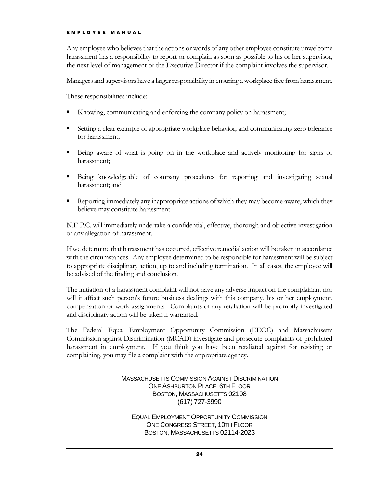Any employee who believes that the actions or words of any other employee constitute unwelcome harassment has a responsibility to report or complain as soon as possible to his or her supervisor, the next level of management or the Executive Director if the complaint involves the supervisor.

Managers and supervisors have a larger responsibility in ensuring a workplace free from harassment.

These responsibilities include:

- Knowing, communicating and enforcing the company policy on harassment;
- Setting a clear example of appropriate workplace behavior, and communicating zero tolerance for harassment;
- Being aware of what is going on in the workplace and actively monitoring for signs of harassment;
- Being knowledgeable of company procedures for reporting and investigating sexual harassment; and
- Reporting immediately any inappropriate actions of which they may become aware, which they believe may constitute harassment.

N.E.P.C. will immediately undertake a confidential, effective, thorough and objective investigation of any allegation of harassment.

If we determine that harassment has occurred, effective remedial action will be taken in accordance with the circumstances. Any employee determined to be responsible for harassment will be subject to appropriate disciplinary action, up to and including termination. In all cases, the employee will be advised of the finding and conclusion.

The initiation of a harassment complaint will not have any adverse impact on the complainant nor will it affect such person's future business dealings with this company, his or her employment, compensation or work assignments. Complaints of any retaliation will be promptly investigated and disciplinary action will be taken if warranted.

The Federal Equal Employment Opportunity Commission (EEOC) and Massachusetts Commission against Discrimination (MCAD) investigate and prosecute complaints of prohibited harassment in employment. If you think you have been retaliated against for resisting or complaining, you may file a complaint with the appropriate agency.

#### MASSACHUSETTS COMMISSION AGAINST DISCRIMINATION ONE ASHBURTON PLACE, 6TH FLOOR BOSTON, MASSACHUSETTS 02108 (617) 727-3990

EQUAL EMPLOYMENT OPPORTUNITY COMMISSION ONE CONGRESS STREET, 10TH FLOOR BOSTON, MASSACHUSETTS 02114-2023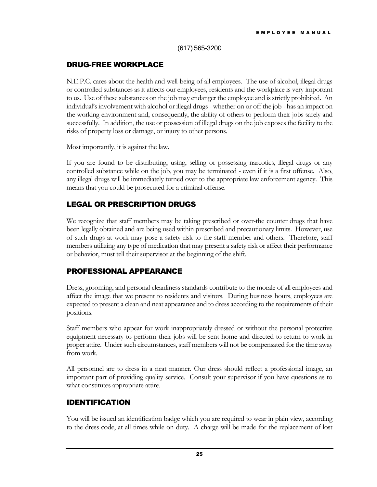(617) 565-3200

#### DRUG-FREE WORKPLACE

N.E.P.C. cares about the health and well-being of all employees. The use of alcohol, illegal drugs or controlled substances as it affects our employees, residents and the workplace is very important to us. Use of these substances on the job may endanger the employee and is strictly prohibited. An individual's involvement with alcohol or illegal drugs - whether on or off the job - has an impact on the working environment and, consequently, the ability of others to perform their jobs safely and successfully. In addition, the use or possession of illegal drugs on the job exposes the facility to the risks of property loss or damage, or injury to other persons.

Most importantly, it is against the law.

If you are found to be distributing, using, selling or possessing narcotics, illegal drugs or any controlled substance while on the job, you may be terminated - even if it is a first offense. Also, any illegal drugs will be immediately turned over to the appropriate law enforcement agency. This means that you could be prosecuted for a criminal offense.

#### LEGAL OR PRESCRIPTION DRUGS

We recognize that staff members may be taking prescribed or over-the counter drugs that have been legally obtained and are being used within prescribed and precautionary limits. However, use of such drugs at work may pose a safety risk to the staff member and others. Therefore, staff members utilizing any type of medication that may present a safety risk or affect their performance or behavior, must tell their supervisor at the beginning of the shift.

#### PROFESSIONAL APPEARANCE

Dress, grooming, and personal cleanliness standards contribute to the morale of all employees and affect the image that we present to residents and visitors. During business hours, employees are expected to present a clean and neat appearance and to dress according to the requirements of their positions.

Staff members who appear for work inappropriately dressed or without the personal protective equipment necessary to perform their jobs will be sent home and directed to return to work in proper attire. Under such circumstances, staff members will not be compensated for the time away from work.

All personnel are to dress in a neat manner. Our dress should reflect a professional image, an important part of providing quality service. Consult your supervisor if you have questions as to what constitutes appropriate attire.

#### IDENTIFICATION

You will be issued an identification badge which you are required to wear in plain view, according to the dress code, at all times while on duty. A charge will be made for the replacement of lost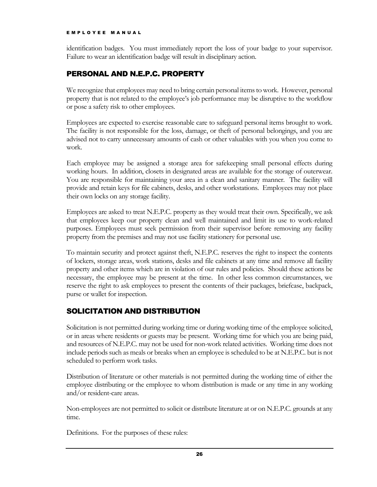identification badges. You must immediately report the loss of your badge to your supervisor. Failure to wear an identification badge will result in disciplinary action.

#### PERSONAL AND N.E.P.C. PROPERTY

We recognize that employees may need to bring certain personal items to work. However, personal property that is not related to the employee's job performance may be disruptive to the workflow or pose a safety risk to other employees.

Employees are expected to exercise reasonable care to safeguard personal items brought to work. The facility is not responsible for the loss, damage, or theft of personal belongings, and you are advised not to carry unnecessary amounts of cash or other valuables with you when you come to work.

Each employee may be assigned a storage area for safekeeping small personal effects during working hours. In addition, closets in designated areas are available for the storage of outerwear. You are responsible for maintaining your area in a clean and sanitary manner. The facility will provide and retain keys for file cabinets, desks, and other workstations. Employees may not place their own locks on any storage facility.

Employees are asked to treat N.E.P.C. property as they would treat their own. Specifically, we ask that employees keep our property clean and well maintained and limit its use to work-related purposes. Employees must seek permission from their supervisor before removing any facility property from the premises and may not use facility stationery for personal use.

To maintain security and protect against theft, N.E.P.C. reserves the right to inspect the contents of lockers, storage areas, work stations, desks and file cabinets at any time and remove all facility property and other items which are in violation of our rules and policies. Should these actions be necessary, the employee may be present at the time. In other less common circumstances, we reserve the right to ask employees to present the contents of their packages, briefcase, backpack, purse or wallet for inspection.

#### SOLICITATION AND DISTRIBUTION

Solicitation is not permitted during working time or during working time of the employee solicited, or in areas where residents or guests may be present. Working time for which you are being paid, and resources of N.E.P.C. may not be used for non-work related activities. Working time does not include periods such as meals or breaks when an employee is scheduled to be at N.E.P.C. but is not scheduled to perform work tasks.

Distribution of literature or other materials is not permitted during the working time of either the employee distributing or the employee to whom distribution is made or any time in any working and/or resident-care areas.

Non-employees are not permitted to solicit or distribute literature at or on N.E.P.C. grounds at any time.

Definitions. For the purposes of these rules: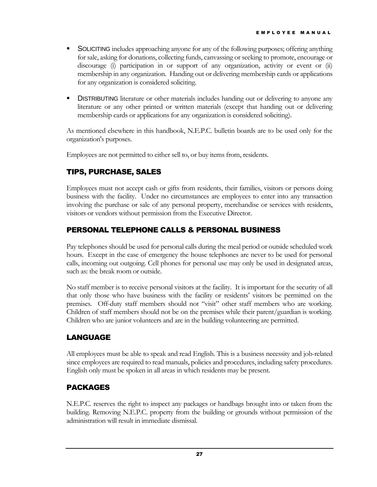- **SOLICITING** includes approaching anyone for any of the following purposes; offering anything for sale, asking for donations, collecting funds, canvassing or seeking to promote, encourage or discourage (i) participation in or support of any organization, activity or event or (ii) membership in any organization. Handing out or delivering membership cards or applications for any organization is considered soliciting.
- **DISTRIBUTING** literature or other materials includes handing out or delivering to anyone any literature or any other printed or written materials (except that handing out or delivering membership cards or applications for any organization is considered soliciting).

As mentioned elsewhere in this handbook, N.E.P.C. bulletin boards are to be used only for the organization's purposes.

Employees are not permitted to either sell to, or buy items from, residents.

## TIPS, PURCHASE, SALES

Employees must not accept cash or gifts from residents, their families, visitors or persons doing business with the facility. Under no circumstances are employees to enter into any transaction involving the purchase or sale of any personal property, merchandise or services with residents, visitors or vendors without permission from the Executive Director.

#### PERSONAL TELEPHONE CALLS & PERSONAL BUSINESS

Pay telephones should be used for personal calls during the meal period or outside scheduled work hours. Except in the case of emergency the house telephones are never to be used for personal calls, incoming out outgoing. Cell phones for personal use may only be used in designated areas, such as: the break room or outside.

No staff member is to receive personal visitors at the facility. It is important for the security of all that only those who have business with the facility or residents' visitors be permitted on the premises. Off-duty staff members should not "visit" other staff members who are working. Children of staff members should not be on the premises while their parent/guardian is working. Children who are junior volunteers and are in the building volunteering are permitted.

# LANGUAGE

All employees must be able to speak and read English. This is a business necessity and job-related since employees are required to read manuals, policies and procedures, including safety procedures. English only must be spoken in all areas in which residents may be present.

#### PACKAGES

N.E.P.C. reserves the right to inspect any packages or handbags brought into or taken from the building. Removing N.E.P.C. property from the building or grounds without permission of the administration will result in immediate dismissal.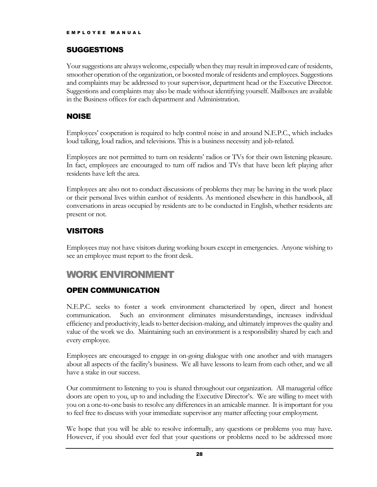#### SUGGESTIONS

Your suggestions are always welcome, especially when they may result in improved care of residents, smoother operation of the organization, or boosted morale of residents and employees. Suggestions and complaints may be addressed to your supervisor, department head or the Executive Director. Suggestions and complaints may also be made without identifying yourself. Mailboxes are available in the Business offices for each department and Administration.

#### NOISE

Employees' cooperation is required to help control noise in and around N.E.P.C., which includes loud talking, loud radios, and televisions. This is a business necessity and job-related.

Employees are not permitted to turn on residents' radios or TVs for their own listening pleasure. In fact, employees are encouraged to turn off radios and TVs that have been left playing after residents have left the area.

Employees are also not to conduct discussions of problems they may be having in the work place or their personal lives within earshot of residents. As mentioned elsewhere in this handbook, all conversations in areas occupied by residents are to be conducted in English, whether residents are present or not.

# VISITORS

Employees may not have visitors during working hours except in emergencies. Anyone wishing to see an employee must report to the front desk.

# WORK ENVIRONMENT

#### OPEN COMMUNICATION

N.E.P.C. seeks to foster a work environment characterized by open, direct and honest communication. Such an environment eliminates misunderstandings, increases individual efficiency and productivity, leads to better decision-making, and ultimately improves the quality and value of the work we do. Maintaining such an environment is a responsibility shared by each and every employee.

Employees are encouraged to engage in on-going dialogue with one another and with managers about all aspects of the facility's business. We all have lessons to learn from each other, and we all have a stake in our success.

Our commitment to listening to you is shared throughout our organization. All managerial office doors are open to you, up to and including the Executive Director's. We are willing to meet with you on a one-to-one basis to resolve any differences in an amicable manner. It is important for you to feel free to discuss with your immediate supervisor any matter affecting your employment.

We hope that you will be able to resolve informally, any questions or problems you may have. However, if you should ever feel that your questions or problems need to be addressed more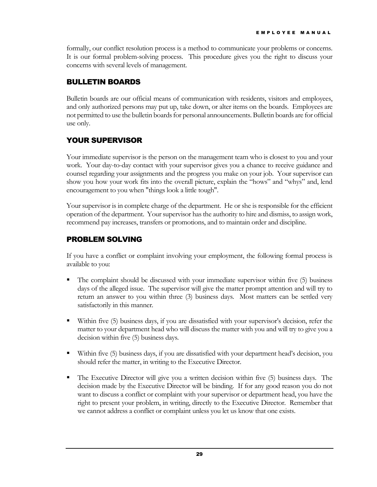formally, our conflict resolution process is a method to communicate your problems or concerns. It is our formal problem-solving process. This procedure gives you the right to discuss your concerns with several levels of management.

#### BULLETIN BOARDS

Bulletin boards are our official means of communication with residents, visitors and employees, and only authorized persons may put up, take down, or alter items on the boards. Employees are not permitted to use the bulletin boards for personal announcements. Bulletin boards are for official use only.

# YOUR SUPERVISOR

Your immediate supervisor is the person on the management team who is closest to you and your work. Your day-to-day contact with your supervisor gives you a chance to receive guidance and counsel regarding your assignments and the progress you make on your job. Your supervisor can show you how your work fits into the overall picture, explain the "hows" and "whys" and, lend encouragement to you when "things look a little tough".

Your supervisor is in complete charge of the department. He or she is responsible for the efficient operation of the department. Your supervisor has the authority to hire and dismiss, to assign work, recommend pay increases, transfers or promotions, and to maintain order and discipline.

## PROBLEM SOLVING

If you have a conflict or complaint involving your employment, the following formal process is available to you:

- The complaint should be discussed with your immediate supervisor within five (5) business days of the alleged issue. The supervisor will give the matter prompt attention and will try to return an answer to you within three (3) business days. Most matters can be settled very satisfactorily in this manner.
- Within five (5) business days, if you are dissatisfied with your supervisor's decision, refer the matter to your department head who will discuss the matter with you and will try to give you a decision within five (5) business days.
- Within five (5) business days, if you are dissatisfied with your department head's decision, you should refer the matter, in writing to the Executive Director.
- The Executive Director will give you a written decision within five (5) business days. The decision made by the Executive Director will be binding. If for any good reason you do not want to discuss a conflict or complaint with your supervisor or department head, you have the right to present your problem, in writing, directly to the Executive Director. Remember that we cannot address a conflict or complaint unless you let us know that one exists.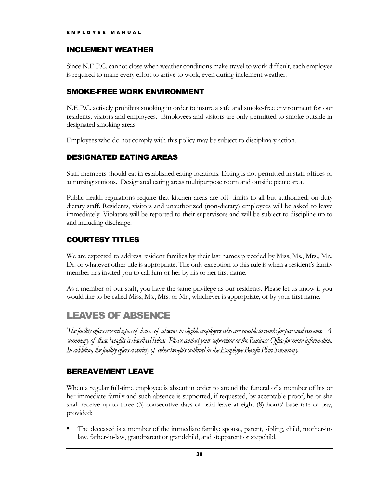#### INCLEMENT WEATHER

Since N.E.P.C. cannot close when weather conditions make travel to work difficult, each employee is required to make every effort to arrive to work, even during inclement weather.

#### SMOKE-FREE WORK ENVIRONMENT

N.E.P.C. actively prohibits smoking in order to insure a safe and smoke-free environment for our residents, visitors and employees. Employees and visitors are only permitted to smoke outside in designated smoking areas.

Employees who do not comply with this policy may be subject to disciplinary action.

## DESIGNATED EATING AREAS

Staff members should eat in established eating locations. Eating is not permitted in staff offices or at nursing stations. Designated eating areas multipurpose room and outside picnic area.

Public health regulations require that kitchen areas are off- limits to all but authorized, on-duty dietary staff. Residents, visitors and unauthorized (non-dietary) employees will be asked to leave immediately. Violators will be reported to their supervisors and will be subject to discipline up to and including discharge.

#### COURTESY TITLES

We are expected to address resident families by their last names preceded by Miss, Ms., Mrs., Mr., Dr. or whatever other title is appropriate. The only exception to this rule is when a resident's family member has invited you to call him or her by his or her first name.

As a member of our staff, you have the same privilege as our residents. Please let us know if you would like to be called Miss, Ms., Mrs. or Mr., whichever is appropriate, or by your first name.

# LEAVES OF ABSENCE

*The facility offers several types of leaves of absence to eligible employees who are unable to work for personal reasons. A summary of these benefits is described below. Please contact your supervisor or the Business Office for more information. In addition, the facility offers a variety of other benefits outlined in the Employee Benefit Plan Summary.*

#### BEREAVEMENT LEAVE

When a regular full-time employee is absent in order to attend the funeral of a member of his or her immediate family and such absence is supported, if requested, by acceptable proof, he or she shall receive up to three (3) consecutive days of paid leave at eight (8) hours' base rate of pay, provided:

 The deceased is a member of the immediate family: spouse, parent, sibling, child, mother-inlaw, father-in-law, grandparent or grandchild, and stepparent or stepchild.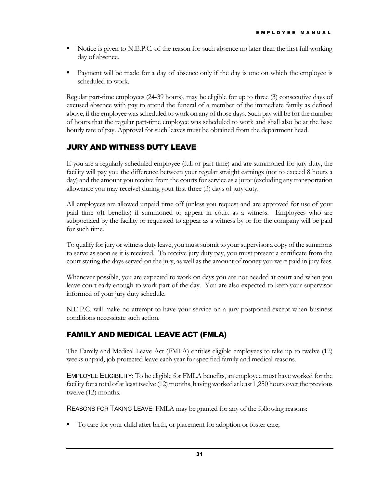- Notice is given to N.E.P.C. of the reason for such absence no later than the first full working day of absence.
- **Payment will be made for a day of absence only if the day is one on which the employee is** scheduled to work.

Regular part-time employees (24-39 hours), may be eligible for up to three (3) consecutive days of excused absence with pay to attend the funeral of a member of the immediate family as defined above, if the employee was scheduled to work on any of those days. Such pay will be for the number of hours that the regular part-time employee was scheduled to work and shall also be at the base hourly rate of pay. Approval for such leaves must be obtained from the department head.

## JURY AND WITNESS DUTY LEAVE

If you are a regularly scheduled employee (full or part-time) and are summoned for jury duty, the facility will pay you the difference between your regular straight earnings (not to exceed 8 hours a day) and the amount you receive from the courts for service as a juror (excluding any transportation allowance you may receive) during your first three (3) days of jury duty.

All employees are allowed unpaid time off (unless you request and are approved for use of your paid time off benefits) if summoned to appear in court as a witness. Employees who are subpoenaed by the facility or requested to appear as a witness by or for the company will be paid for such time.

To qualify for jury or witness duty leave, you must submit to your supervisor a copy of the summons to serve as soon as it is received. To receive jury duty pay, you must present a certificate from the court stating the days served on the jury, as well as the amount of money you were paid in jury fees.

Whenever possible, you are expected to work on days you are not needed at court and when you leave court early enough to work part of the day. You are also expected to keep your supervisor informed of your jury duty schedule.

N.E.P.C. will make no attempt to have your service on a jury postponed except when business conditions necessitate such action.

#### FAMILY AND MEDICAL LEAVE ACT (FMLA)

The Family and Medical Leave Act (FMLA) entitles eligible employees to take up to twelve (12) weeks unpaid, job protected leave each year for specified family and medical reasons.

EMPLOYEE ELIGIBILITY: To be eligible for FMLA benefits, an employee must have worked for the facility for a total of at least twelve (12) months, having worked at least 1,250 hours over the previous twelve (12) months.

REASONS FOR TAKING LEAVE: FMLA may be granted for any of the following reasons:

To care for your child after birth, or placement for adoption or foster care;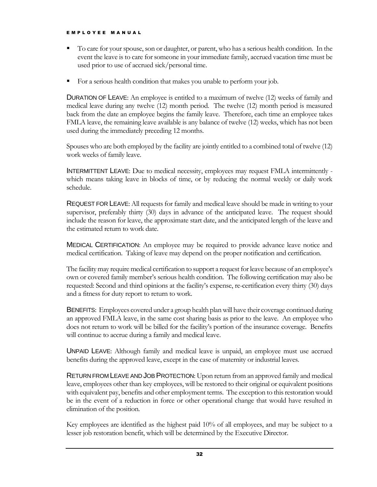- To care for your spouse, son or daughter, or parent, who has a serious health condition. In the event the leave is to care for someone in your immediate family, accrued vacation time must be used prior to use of accrued sick/personal time.
- For a serious health condition that makes you unable to perform your job.

DURATION OF LEAVE: An employee is entitled to a maximum of twelve (12) weeks of family and medical leave during any twelve (12) month period. The twelve (12) month period is measured back from the date an employee begins the family leave. Therefore, each time an employee takes FMLA leave, the remaining leave available is any balance of twelve (12) weeks, which has not been used during the immediately preceding 12 months.

Spouses who are both employed by the facility are jointly entitled to a combined total of twelve (12) work weeks of family leave.

INTERMITTENT LEAVE: Due to medical necessity, employees may request FMLA intermittently which means taking leave in blocks of time, or by reducing the normal weekly or daily work schedule.

REQUEST FOR LEAVE: All requests for family and medical leave should be made in writing to your supervisor, preferably thirty (30) days in advance of the anticipated leave. The request should include the reason for leave, the approximate start date, and the anticipated length of the leave and the estimated return to work date.

MEDICAL CERTIFICATION: An employee may be required to provide advance leave notice and medical certification. Taking of leave may depend on the proper notification and certification.

The facility may require medical certification to support a request for leave because of an employee's own or covered family member's serious health condition. The following certification may also be requested: Second and third opinions at the facility's expense, re-certification every thirty (30) days and a fitness for duty report to return to work.

BENEFITS: Employees covered under a group health plan will have their coverage continued during an approved FMLA leave, in the same cost sharing basis as prior to the leave. An employee who does not return to work will be billed for the facility's portion of the insurance coverage. Benefits will continue to accrue during a family and medical leave.

UNPAID LEAVE: Although family and medical leave is unpaid, an employee must use accrued benefits during the approved leave, except in the case of maternity or industrial leaves.

RETURN FROM LEAVE AND JOB PROTECTION: Upon return from an approved family and medical leave, employees other than key employees, will be restored to their original or equivalent positions with equivalent pay, benefits and other employment terms. The exception to this restoration would be in the event of a reduction in force or other operational change that would have resulted in elimination of the position.

Key employees are identified as the highest paid 10% of all employees, and may be subject to a lesser job restoration benefit, which will be determined by the Executive Director.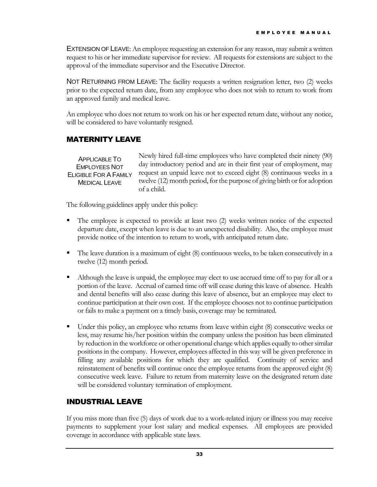EXTENSION OF LEAVE: An employee requesting an extension for any reason, may submit a written request to his or her immediate supervisor for review. All requests for extensions are subject to the approval of the immediate supervisor and the Executive Director.

NOT RETURNING FROM LEAVE: The facility requests a written resignation letter, two (2) weeks prior to the expected return date, from any employee who does not wish to return to work from an approved family and medical leave.

An employee who does not return to work on his or her expected return date, without any notice, will be considered to have voluntarily resigned.

#### MATERNITY LEAVE

Newly hired full-time employees who have completed their ninety (90) day introductory period and are in their first year of employment, may request an unpaid leave not to exceed eight (8) continuous weeks in a twelve (12) month period, for the purpose of giving birth or for adoption of a child. APPLICABLE TO EMPLOYEES NOT ELIGIBLE FOR A FAMILY MEDICAL LEAVE

The following guidelines apply under this policy:

- The employee is expected to provide at least two (2) weeks written notice of the expected departure date, except when leave is due to an unexpected disability. Also, the employee must provide notice of the intention to return to work, with anticipated return date.
- The leave duration is a maximum of eight (8) continuous weeks, to be taken consecutively in a twelve (12) month period.
- Although the leave is unpaid, the employee may elect to use accrued time off to pay for all or a portion of the leave. Accrual of earned time off will cease during this leave of absence. Health and dental benefits will also cease during this leave of absence, but an employee may elect to continue participation at their own cost. If the employee chooses not to continue participation or fails to make a payment on a timely basis, coverage may be terminated.
- Under this policy, an employee who returns from leave within eight (8) consecutive weeks or less, may resume his/her position within the company unless the position has been eliminated by reduction in the workforce or other operational change which applies equally to other similar positions in the company. However, employees affected in this way will be given preference in filling any available positions for which they are qualified. Continuity of service and reinstatement of benefits will continue once the employee returns from the approved eight (8) consecutive week leave. Failure to return from maternity leave on the designated return date will be considered voluntary termination of employment.

#### INDUSTRIAL LEAVE

If you miss more than five (5) days of work due to a work-related injury or illness you may receive payments to supplement your lost salary and medical expenses. All employees are provided coverage in accordance with applicable state laws.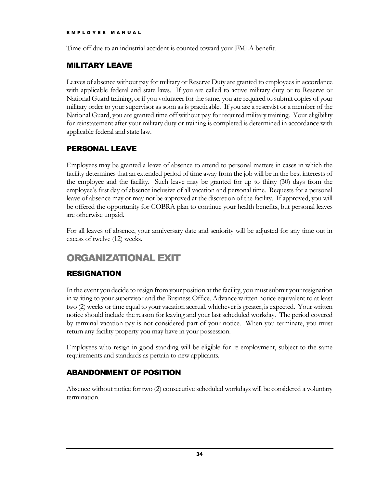Time-off due to an industrial accident is counted toward your FMLA benefit.

#### MILITARY LEAVE

Leaves of absence without pay for military or Reserve Duty are granted to employees in accordance with applicable federal and state laws. If you are called to active military duty or to Reserve or National Guard training, or if you volunteer for the same, you are required to submit copies of your military order to your supervisor as soon as is practicable. If you are a reservist or a member of the National Guard, you are granted time off without pay for required military training. Your eligibility for reinstatement after your military duty or training is completed is determined in accordance with applicable federal and state law.

#### PERSONAL LEAVE

Employees may be granted a leave of absence to attend to personal matters in cases in which the facility determines that an extended period of time away from the job will be in the best interests of the employee and the facility. Such leave may be granted for up to thirty (30) days from the employee's first day of absence inclusive of all vacation and personal time. Requests for a personal leave of absence may or may not be approved at the discretion of the facility. If approved, you will be offered the opportunity for COBRA plan to continue your health benefits, but personal leaves are otherwise unpaid.

For all leaves of absence, your anniversary date and seniority will be adjusted for any time out in excess of twelve (12) weeks.

# ORGANIZATIONAL EXIT

#### RESIGNATION

In the event you decide to resign from your position at the facility, you must submit your resignation in writing to your supervisor and the Business Office. Advance written notice equivalent to at least two (2) weeks or time equal to your vacation accrual, whichever is greater, is expected. Your written notice should include the reason for leaving and your last scheduled workday. The period covered by terminal vacation pay is not considered part of your notice. When you terminate, you must return any facility property you may have in your possession.

Employees who resign in good standing will be eligible for re-employment, subject to the same requirements and standards as pertain to new applicants.

# ABANDONMENT OF POSITION

Absence without notice for two (2) consecutive scheduled workdays will be considered a voluntary termination.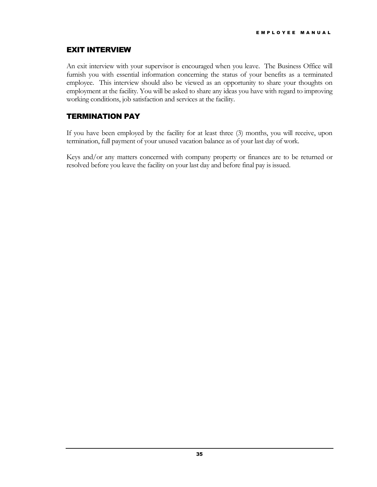#### EXIT INTERVIEW

An exit interview with your supervisor is encouraged when you leave. The Business Office will furnish you with essential information concerning the status of your benefits as a terminated employee. This interview should also be viewed as an opportunity to share your thoughts on employment at the facility. You will be asked to share any ideas you have with regard to improving working conditions, job satisfaction and services at the facility.

#### TERMINATION PAY

If you have been employed by the facility for at least three (3) months, you will receive, upon termination, full payment of your unused vacation balance as of your last day of work.

Keys and/or any matters concerned with company property or finances are to be returned or resolved before you leave the facility on your last day and before final pay is issued.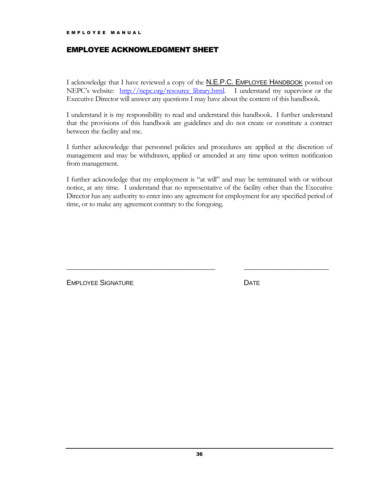#### EMPLOYEE ACKNOWLEDGMENT SHEET

I acknowledge that I have reviewed a copy of the N.E.P.C. EMPLOYEE HANDBOOK posted on NEPC's website: [http://nepc.org/resource\\_library.html.](http://nepc.org/resource_library.html) I understand my supervisor or the Executive Director will answer any questions I may have about the content of this handbook.

I understand it is my responsibility to read and understand this handbook. I further understand that the provisions of this handbook are guidelines and do not create or constitute a contract between the facility and me.

I further acknowledge that personnel policies and procedures are applied at the discretion of management and may be withdrawn, applied or amended at any time upon written notification from management.

I further acknowledge that my employment is "at will" and may be terminated with or without notice, at any time. I understand that no representative of the facility other than the Executive Director has any authority to enter into any agreement for employment for any specified period of time, or to make any agreement contrary to the foregoing.

\_\_\_\_\_\_\_\_\_\_\_\_\_\_\_\_\_\_\_\_\_\_\_\_\_\_\_\_\_\_\_\_\_\_\_\_\_\_\_\_\_\_ \_\_\_\_\_\_\_\_\_\_\_\_\_\_\_\_\_\_\_\_\_\_\_\_

EMPLOYEE SIGNATURE **EXECUTE:** DATE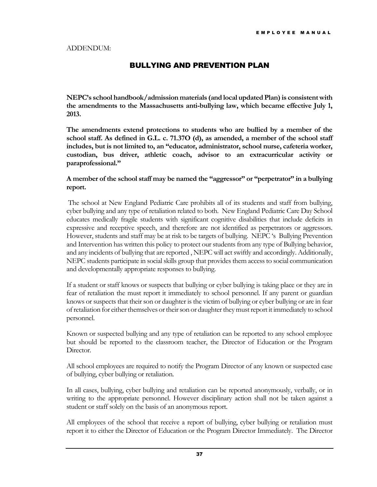#### BULLYING AND PREVENTION PLAN

**NEPC's school handbook/admission materials (and local updated Plan) is consistent with the amendments to the Massachusetts anti-bullying law, which became effective July 1, 2013.** 

**The amendments extend protections to students who are bullied by a member of the school staff. As defined in G.L. c. 71.37O (d), as amended, a member of the school staff includes, but is not limited to, an "educator, administrator, school nurse, cafeteria worker, custodian, bus driver, athletic coach, advisor to an extracurricular activity or paraprofessional."** 

#### **A member of the school staff may be named the "aggressor" or "perpetrator" in a bullying report.**

The school at New England Pediatric Care prohibits all of its students and staff from bullying, cyber bullying and any type of retaliation related to both. New England Pediatric Care Day School educates medically fragile students with significant cognitive disabilities that include deficits in expressive and receptive speech, and therefore are not identified as perpetrators or aggressors. However, students and staff may be at risk to be targets of bullying. NEPC 's Bullying Prevention and Intervention has written this policy to protect our students from any type of Bullying behavior, and any incidents of bullying that are reported , NEPC will act swiftly and accordingly. Additionally, NEPC students participate in social skills group that provides them access to social communication and developmentally appropriate responses to bullying.

If a student or staff knows or suspects that bullying or cyber bullying is taking place or they are in fear of retaliation the must report it immediately to school personnel. If any parent or guardian knows or suspects that their son or daughter is the victim of bullying or cyber bullying or are in fear of retaliation for either themselves or their son or daughter they must report it immediately to school personnel.

Known or suspected bullying and any type of retaliation can be reported to any school employee but should be reported to the classroom teacher, the Director of Education or the Program Director.

All school employees are required to notify the Program Director of any known or suspected case of bullying, cyber bullying or retaliation.

In all cases, bullying, cyber bullying and retaliation can be reported anonymously, verbally, or in writing to the appropriate personnel. However disciplinary action shall not be taken against a student or staff solely on the basis of an anonymous report.

All employees of the school that receive a report of bullying, cyber bullying or retaliation must report it to either the Director of Education or the Program Director Immediately. The Director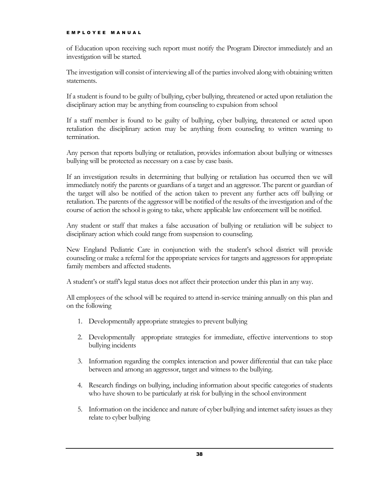of Education upon receiving such report must notify the Program Director immediately and an investigation will be started.

The investigation will consist of interviewing all of the parties involved along with obtaining written statements.

If a student is found to be guilty of bullying, cyber bullying, threatened or acted upon retaliation the disciplinary action may be anything from counseling to expulsion from school

If a staff member is found to be guilty of bullying, cyber bullying, threatened or acted upon retaliation the disciplinary action may be anything from counseling to written warning to termination.

Any person that reports bullying or retaliation, provides information about bullying or witnesses bullying will be protected as necessary on a case by case basis.

If an investigation results in determining that bullying or retaliation has occurred then we will immediately notify the parents or guardians of a target and an aggressor. The parent or guardian of the target will also be notified of the action taken to prevent any further acts off bullying or retaliation. The parents of the aggressor will be notified of the results of the investigation and of the course of action the school is going to take, where applicable law enforcement will be notified.

Any student or staff that makes a false accusation of bullying or retaliation will be subject to disciplinary action which could range from suspension to counseling.

New England Pediatric Care in conjunction with the student's school district will provide counseling or make a referral for the appropriate services for targets and aggressors for appropriate family members and affected students.

A student's or staff's legal status does not affect their protection under this plan in any way.

All employees of the school will be required to attend in-service training annually on this plan and on the following

- 1. Developmentally appropriate strategies to prevent bullying
- 2. Developmentally appropriate strategies for immediate, effective interventions to stop bullying incidents
- 3. Information regarding the complex interaction and power differential that can take place between and among an aggressor, target and witness to the bullying.
- 4. Research findings on bullying, including information about specific categories of students who have shown to be particularly at risk for bullying in the school environment
- 5. Information on the incidence and nature of cyber bullying and internet safety issues as they relate to cyber bullying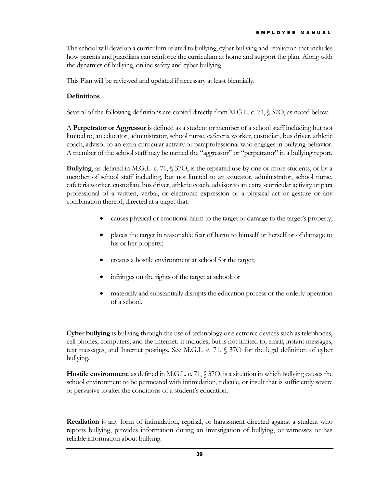The school will develop a curriculum related to bullying, cyber bullying and retaliation that includes how parents and guardians can reinforce the curriculum at home and support the plan. Along with the dynamics of bullying, online safety and cyber bullying

This Plan will be reviewed and updated if necessary at least biennially.

#### **Definitions**

Several of the following definitions are copied directly from M.G.L. c. 71, § 37O, as noted below.

A **Perpetrator or Aggressor** is defined as a student or member of a school staff including but not limited to, an educator, administrator, school nurse, cafeteria worker, custodian, bus driver, athletic coach, advisor to an extra-curricular activity or paraprofessional who engages in bullying behavior. A member of the school staff may be named the "aggressor" or "perpetrator" in a bullying report.

**Bullying**, as defined in M.G.L. c. 71, § 37O, is the repeated use by one or more students, or by a member of school staff including, but not limited to an educator, administrator, school nurse, cafeteria worker, custodian, bus driver, athletic coach, advisor to an extra -curricular activity or para professional of a written, verbal, or electronic expression or a physical act or gesture or any combination thereof, directed at a target that:

- causes physical or emotional harm to the target or damage to the target's property;
- places the target in reasonable fear of harm to himself or herself or of damage to his or her property;
- creates a hostile environment at school for the target;
- infringes on the rights of the target at school; or
- materially and substantially disrupts the education process or the orderly operation of a school.

**Cyber bullying** is bullying through the use of technology or electronic devices such as telephones, cell phones, computers, and the Internet. It includes, but is not limited to, email, instant messages, text messages, and Internet postings. See M.G.L. c. 71, § 37O for the legal definition of cyber bullying.

**Hostile environment**, as defined in M.G.L. c. 71, § 37O, is a situation in which bullying causes the school environment to be permeated with intimidation, ridicule, or insult that is sufficiently severe or pervasive to alter the conditions of a student's education.

**Retaliation** is any form of intimidation, reprisal, or harassment directed against a student who reports bullying, provides information during an investigation of bullying, or witnesses or has reliable information about bullying.